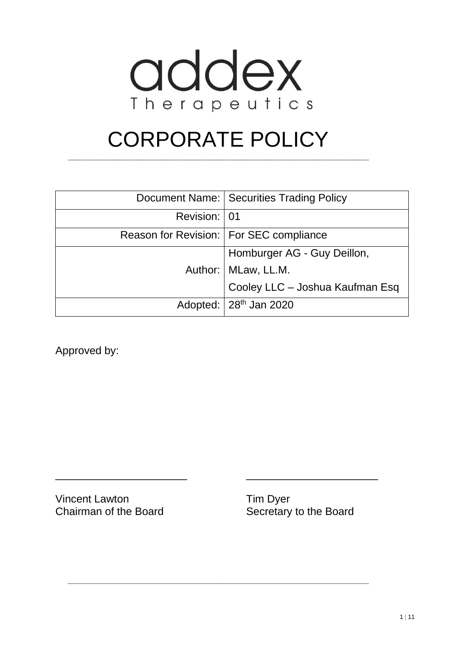

# CORPORATE POLICY

**\_\_\_\_\_\_\_\_\_\_\_\_\_\_\_\_\_\_\_\_\_\_\_\_\_\_\_\_\_\_\_\_\_\_\_\_\_\_\_\_\_\_\_\_\_\_\_\_\_\_\_\_\_\_\_\_\_\_\_\_\_\_\_\_**

|              | Document Name:   Securities Trading Policy |
|--------------|--------------------------------------------|
| Revision: 01 |                                            |
|              | Reason for Revision:   For SEC compliance  |
|              | Homburger AG - Guy Deillon,                |
|              | Author:   MLaw, LL.M.                      |
|              | Cooley LLC - Joshua Kaufman Esq            |
|              | Adopted: $28th$ Jan 2020                   |

\_\_\_\_\_\_\_\_\_\_\_\_\_\_\_\_\_\_\_\_\_\_ \_\_\_\_\_\_\_\_\_\_\_\_\_\_\_\_\_\_\_\_\_\_

**\_\_\_\_\_\_\_\_\_\_\_\_\_\_\_\_\_\_\_\_\_\_\_\_\_\_\_\_\_\_\_\_\_\_\_\_\_\_\_\_\_\_\_\_\_\_\_\_\_\_\_\_\_\_\_\_\_\_\_\_\_\_\_\_**

Approved by:

Vincent Lawton Tim Dyer Chairman of the Board Secretary to the Board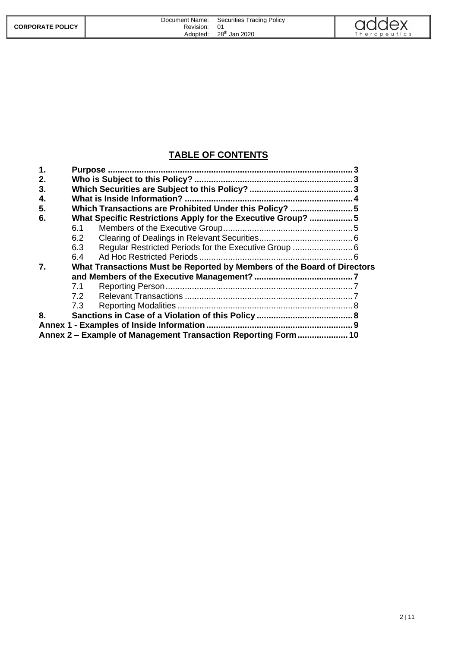|                         | Document Name: | <b>Securities Trading Policy</b> | addex       |
|-------------------------|----------------|----------------------------------|-------------|
| <b>CORPORATE POLICY</b> | Revision:      | 01                               |             |
|                         | Adopted:       | 28 <sup>th</sup> Jan 2020        | herapeutics |

#### **TABLE OF CONTENTS**

| 1. | <b>Purpose</b> |                                                                         |  |
|----|----------------|-------------------------------------------------------------------------|--|
| 2. |                |                                                                         |  |
| 3. |                |                                                                         |  |
| 4. |                |                                                                         |  |
| 5. |                | Which Transactions are Prohibited Under this Policy?  5                 |  |
| 6. |                | What Specific Restrictions Apply for the Executive Group? 5             |  |
|    | 6.1            |                                                                         |  |
|    | 6.2            |                                                                         |  |
|    | 6.3            |                                                                         |  |
|    | 6.4            |                                                                         |  |
| 7. |                | What Transactions Must be Reported by Members of the Board of Directors |  |
|    |                |                                                                         |  |
|    | 7.1            |                                                                         |  |
|    | 7.2            |                                                                         |  |
|    | 7.3            |                                                                         |  |
| 8. |                |                                                                         |  |
|    |                |                                                                         |  |
|    |                | Annex 2 – Example of Management Transaction Reporting Form10            |  |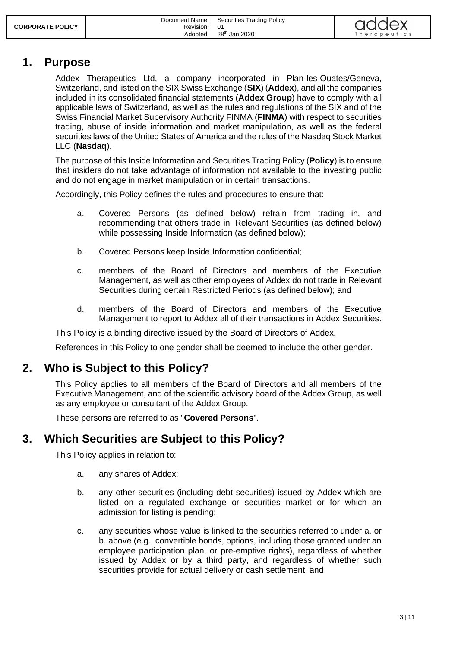|                         | Document Name: | Securities Trading Policy | addex        |
|-------------------------|----------------|---------------------------|--------------|
| <b>CORPORATE POLICY</b> | Revision:      | 01                        |              |
|                         | Adopted:       | 28 <sup>th</sup> Jan 2020 | Therapeutics |

#### <span id="page-2-0"></span>**1. Purpose**

Addex Therapeutics Ltd, a company incorporated in Plan-les-Ouates/Geneva, Switzerland, and listed on the SIX Swiss Exchange (**SIX**) (**Addex**), and all the companies included in its consolidated financial statements (**Addex Group**) have to comply with all applicable laws of Switzerland, as well as the rules and regulations of the SIX and of the Swiss Financial Market Supervisory Authority FINMA (**FINMA**) with respect to securities trading, abuse of inside information and market manipulation, as well as the federal securities laws of the United States of America and the rules of the Nasdaq Stock Market LLC (**Nasdaq**).

The purpose of this Inside Information and Securities Trading Policy (**Policy**) is to ensure that insiders do not take advantage of information not available to the investing public and do not engage in market manipulation or in certain transactions.

Accordingly, this Policy defines the rules and procedures to ensure that:

- a. Covered Persons (as defined below) refrain from trading in, and recommending that others trade in, Relevant Securities (as defined below) while possessing Inside Information (as defined below);
- b. Covered Persons keep Inside Information confidential;
- c. members of the Board of Directors and members of the Executive Management, as well as other employees of Addex do not trade in Relevant Securities during certain Restricted Periods (as defined below); and
- d. members of the Board of Directors and members of the Executive Management to report to Addex all of their transactions in Addex Securities.

This Policy is a binding directive issued by the Board of Directors of Addex.

<span id="page-2-1"></span>References in this Policy to one gender shall be deemed to include the other gender.

### **2. Who is Subject to this Policy?**

This Policy applies to all members of the Board of Directors and all members of the Executive Management, and of the scientific advisory board of the Addex Group, as well as any employee or consultant of the Addex Group.

<span id="page-2-2"></span>These persons are referred to as "**Covered Persons**".

### **3. Which Securities are Subject to this Policy?**

<span id="page-2-3"></span>This Policy applies in relation to:

- a. any shares of Addex;
- <span id="page-2-4"></span>b. any other securities (including debt securities) issued by Addex which are listed on a regulated exchange or securities market or for which an admission for listing is pending;
- c. any securities whose value is linked to the securities referred to under [a.](#page-2-3) or [b.](#page-2-4) above (e.g., convertible bonds, options, including those granted under an employee participation plan, or pre-emptive rights), regardless of whether issued by Addex or by a third party, and regardless of whether such securities provide for actual delivery or cash settlement; and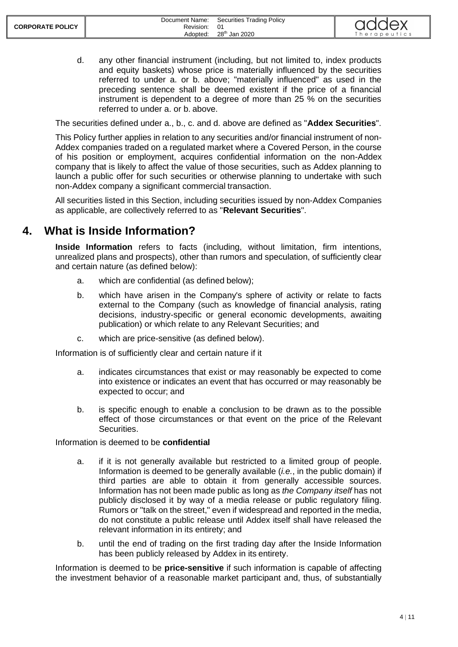d. any other financial instrument (including, but not limited to, index products and equity baskets) whose price is materially influenced by the securities referred to under a. or b. above; "materially influenced" as used in the preceding sentence shall be deemed existent if the price of a financial instrument is dependent to a degree of more than 25 % on the securities referred to under a. or b. above.

The securities defined under a., b., c. and d. above are defined as "**Addex Securities**".

This Policy further applies in relation to any securities and/or financial instrument of non-Addex companies traded on a regulated market where a Covered Person, in the course of his position or employment, acquires confidential information on the non-Addex company that is likely to affect the value of those securities, such as Addex planning to launch a public offer for such securities or otherwise planning to undertake with such non-Addex company a significant commercial transaction.

All securities listed in this Section, including securities issued by non-Addex Companies as applicable, are collectively referred to as "**Relevant Securities**".

### <span id="page-3-0"></span>**4. What is Inside Information?**

**Inside Information** refers to facts (including, without limitation, firm intentions, unrealized plans and prospects), other than rumors and speculation, of sufficiently clear and certain nature (as defined below):

- a. which are confidential (as defined below);
- b. which have arisen in the Company's sphere of activity or relate to facts external to the Company (such as knowledge of financial analysis, rating decisions, industry-specific or general economic developments, awaiting publication) or which relate to any Relevant Securities; and
- c. which are price-sensitive (as defined below).

Information is of sufficiently clear and certain nature if it

- a. indicates circumstances that exist or may reasonably be expected to come into existence or indicates an event that has occurred or may reasonably be expected to occur; and
- b. is specific enough to enable a conclusion to be drawn as to the possible effect of those circumstances or that event on the price of the Relevant Securities.

Information is deemed to be **confidential**

- a. if it is not generally available but restricted to a limited group of people. Information is deemed to be generally available (*i.e.*, in the public domain) if third parties are able to obtain it from generally accessible sources. Information has not been made public as long as *the Company itself* has not publicly disclosed it by way of a media release or public regulatory filing. Rumors or "talk on the street," even if widespread and reported in the media, do not constitute a public release until Addex itself shall have released the relevant information in its entirety; and
- b. until the end of trading on the first trading day after the Inside Information has been publicly released by Addex in its entirety.

Information is deemed to be **price-sensitive** if such information is capable of affecting the investment behavior of a reasonable market participant and, thus, of substantially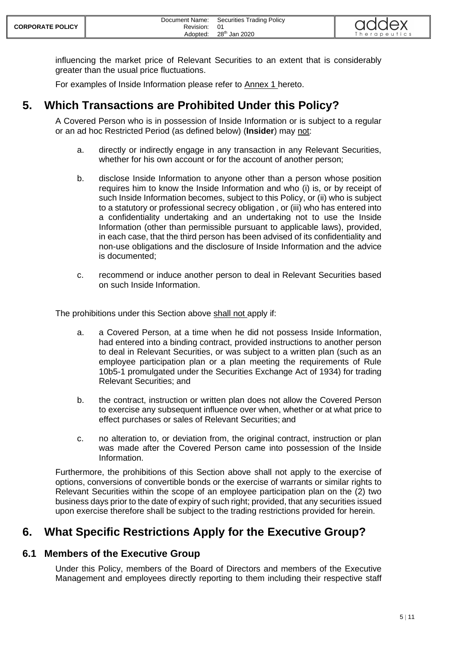influencing the market price of Relevant Securities to an extent that is considerably greater than the usual price fluctuations.

<span id="page-4-0"></span>For examples of Inside Information please refer to Annex 1 hereto.

### **5. Which Transactions are Prohibited Under this Policy?**

A Covered Person who is in possession of Inside Information or is subject to a regular or an ad hoc Restricted Period (as defined below) (**Insider**) may not:

- a. directly or indirectly engage in any transaction in any Relevant Securities, whether for his own account or for the account of another person;
- b. disclose Inside Information to anyone other than a person whose position requires him to know the Inside Information and who (i) is, or by receipt of such Inside Information becomes, subject to this Policy, or (ii) who is subject to a statutory or professional secrecy obligation , or (iii) who has entered into a confidentiality undertaking and an undertaking not to use the Inside Information (other than permissible pursuant to applicable laws), provided, in each case, that the third person has been advised of its confidentiality and non-use obligations and the disclosure of Inside Information and the advice is documented;
- c. recommend or induce another person to deal in Relevant Securities based on such Inside Information.

The prohibitions under this Section above shall not apply if:

- a. a Covered Person, at a time when he did not possess Inside Information, had entered into a binding contract, provided instructions to another person to deal in Relevant Securities, or was subject to a written plan (such as an employee participation plan or a plan meeting the requirements of Rule 10b5-1 promulgated under the Securities Exchange Act of 1934) for trading Relevant Securities; and
- b. the contract, instruction or written plan does not allow the Covered Person to exercise any subsequent influence over when, whether or at what price to effect purchases or sales of Relevant Securities; and
- c. no alteration to, or deviation from, the original contract, instruction or plan was made after the Covered Person came into possession of the Inside Information.

Furthermore, the prohibitions of this Section above shall not apply to the exercise of options, conversions of convertible bonds or the exercise of warrants or similar rights to Relevant Securities within the scope of an employee participation plan on the (2) two business days prior to the date of expiry of such right; provided, that any securities issued upon exercise therefore shall be subject to the trading restrictions provided for herein.

### <span id="page-4-1"></span>**6. What Specific Restrictions Apply for the Executive Group?**

#### <span id="page-4-2"></span>**6.1 Members of the Executive Group**

Under this Policy, members of the Board of Directors and members of the Executive Management and employees directly reporting to them including their respective staff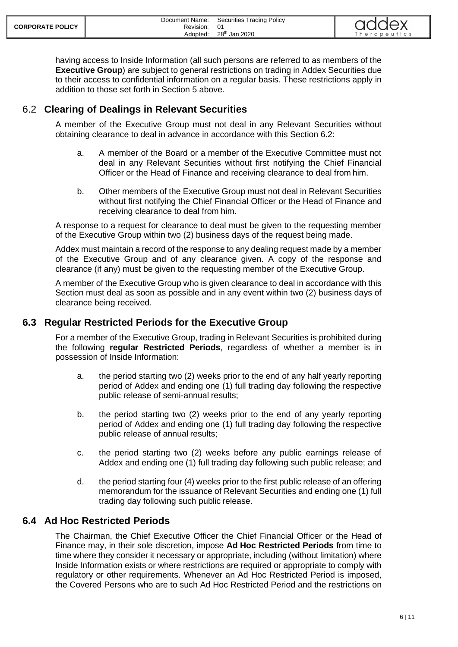| <b>CORPORATE POLICY</b> | Document Name:<br>Revision: | <b>Securities Trading Policy</b><br>-01 | addex        |
|-------------------------|-----------------------------|-----------------------------------------|--------------|
|                         | Adopted:                    | 28 <sup>th</sup> Jan 2020               | Therapeutics |

having access to Inside Information (all such persons are referred to as members of the **Executive Group**) are subject to general restrictions on trading in Addex Securities due to their access to confidential information on a regular basis. These restrictions apply in addition to those set forth in Section 5 above.

#### <span id="page-5-0"></span>6.2 **Clearing of Dealings in Relevant Securities**

A member of the Executive Group must not deal in any Relevant Securities without obtaining clearance to deal in advance in accordance with this Section 6.2:

- a. A member of the Board or a member of the Executive Committee must not deal in any Relevant Securities without first notifying the Chief Financial Officer or the Head of Finance and receiving clearance to deal from him.
- b. Other members of the Executive Group must not deal in Relevant Securities without first notifying the Chief Financial Officer or the Head of Finance and receiving clearance to deal from him.

A response to a request for clearance to deal must be given to the requesting member of the Executive Group within two (2) business days of the request being made.

Addex must maintain a record of the response to any dealing request made by a member of the Executive Group and of any clearance given. A copy of the response and clearance (if any) must be given to the requesting member of the Executive Group.

A member of the Executive Group who is given clearance to deal in accordance with this Section must deal as soon as possible and in any event within two (2) business days of clearance being received.

#### <span id="page-5-1"></span>**6.3 Regular Restricted Periods for the Executive Group**

For a member of the Executive Group, trading in Relevant Securities is prohibited during the following **regular Restricted Periods**, regardless of whether a member is in possession of Inside Information:

- a. the period starting two (2) weeks prior to the end of any half yearly reporting period of Addex and ending one (1) full trading day following the respective public release of semi-annual results;
- b. the period starting two (2) weeks prior to the end of any yearly reporting period of Addex and ending one (1) full trading day following the respective public release of annual results;
- c. the period starting two (2) weeks before any public earnings release of Addex and ending one (1) full trading day following such public release; and
- d. the period starting four (4) weeks prior to the first public release of an offering memorandum for the issuance of Relevant Securities and ending one (1) full trading day following such public release.

#### <span id="page-5-2"></span>**6.4 Ad Hoc Restricted Periods**

The Chairman, the Chief Executive Officer the Chief Financial Officer or the Head of Finance may, in their sole discretion, impose **Ad Hoc Restricted Periods** from time to time where they consider it necessary or appropriate, including (without limitation) where Inside Information exists or where restrictions are required or appropriate to comply with regulatory or other requirements. Whenever an Ad Hoc Restricted Period is imposed, the Covered Persons who are to such Ad Hoc Restricted Period and the restrictions on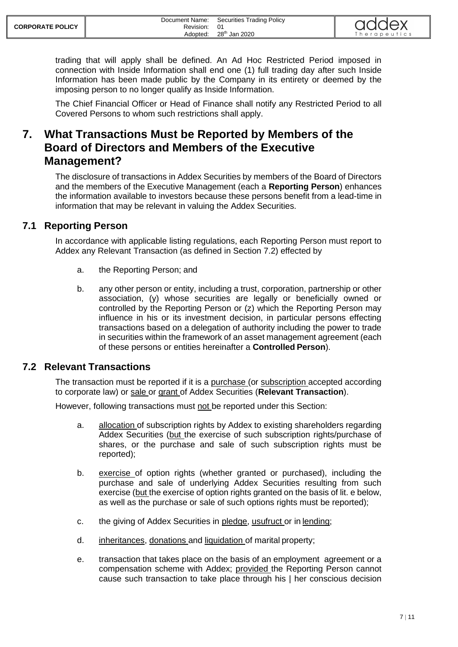trading that will apply shall be defined. An Ad Hoc Restricted Period imposed in connection with Inside Information shall end one (1) full trading day after such Inside Information has been made public by the Company in its entirety or deemed by the imposing person to no longer qualify as Inside Information.

The Chief Financial Officer or Head of Finance shall notify any Restricted Period to all Covered Persons to whom such restrictions shall apply.

### <span id="page-6-0"></span>**7. What Transactions Must be Reported by Members of the Board of Directors and Members of the Executive Management?**

The disclosure of transactions in Addex Securities by members of the Board of Directors and the members of the Executive Management (each a **Reporting Person**) enhances the information available to investors because these persons benefit from a lead-time in information that may be relevant in valuing the Addex Securities.

#### <span id="page-6-1"></span>**7.1 Reporting Person**

In accordance with applicable listing regulations, each Reporting Person must report to Addex any Relevant Transaction (as defined in Section 7.2) effected by

- a. the Reporting Person; and
- b. any other person or entity, including a trust, corporation, partnership or other association, (y) whose securities are legally or beneficially owned or controlled by the Reporting Person or (z) which the Reporting Person may influence in his or its investment decision, in particular persons effecting transactions based on a delegation of authority including the power to trade in securities within the framework of an asset management agreement (each of these persons or entities hereinafter a **Controlled Person**).

#### <span id="page-6-2"></span>**7.2 Relevant Transactions**

The transaction must be reported if it is a purchase (or subscription accepted according to corporate law) or sale or grant of Addex Securities (**Relevant Transaction**).

However, following transactions must not be reported under this Section:

- a. allocation of subscription rights by Addex to existing shareholders regarding Addex Securities (but the exercise of such subscription rights/purchase of shares, or the purchase and sale of such subscription rights must be reported);
- b. exercise of option rights (whether granted or purchased), including the purchase and sale of underlying Addex Securities resulting from such exercise (but the exercise of option rights granted on the basis of lit. e below, as well as the purchase or sale of such options rights must be reported);
- c. the giving of Addex Securities in pledge, usufruct or in lending;
- d. inheritances, donations and liquidation of marital property;
- e. transaction that takes place on the basis of an employment agreement or a compensation scheme with Addex; provided the Reporting Person cannot cause such transaction to take place through his | her conscious decision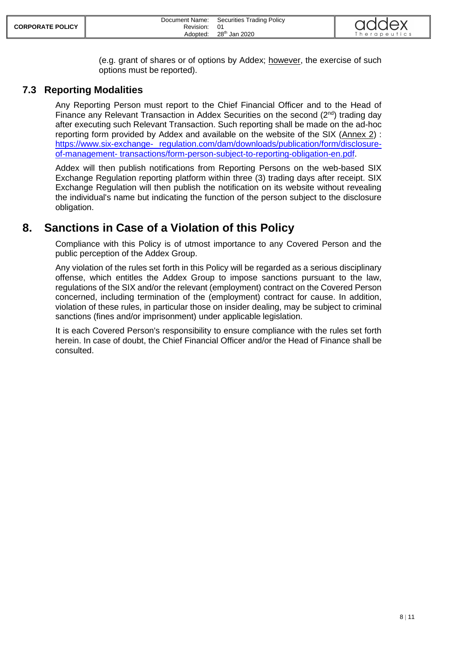(e.g. grant of shares or of options by Addex; however, the exercise of such options must be reported).

#### <span id="page-7-0"></span>**7.3 Reporting Modalities**

Any Reporting Person must report to the Chief Financial Officer and to the Head of Finance any Relevant Transaction in Addex Securities on the second (2<sup>nd</sup>) trading day after executing such Relevant Transaction. Such reporting shall be made on the ad-hoc reporting form provided by Addex and available on the website of the SIX (Annex 2) : [https://www.six-exchange-](https://www.six-exchange-regulation.com/dam/downloads/publication/form/disclosure-of-management-transactions/form-person-subject-to-reporting-obligation-en.pdf) [regulation.com/dam/downloads/publication/form/disclosure](https://www.six-exchange-regulation.com/dam/downloads/publication/form/disclosure-of-management-transactions/form-person-subject-to-reporting-obligation-en.pdf)[of-management-](https://www.six-exchange-regulation.com/dam/downloads/publication/form/disclosure-of-management-transactions/form-person-subject-to-reporting-obligation-en.pdf) [transactions/form-person-subject-to-reporting-obligation-en.pdf.](https://www.six-exchange-regulation.com/dam/downloads/publication/form/disclosure-of-management-transactions/form-person-subject-to-reporting-obligation-en.pdf)

Addex will then publish notifications from Reporting Persons on the web-based SIX Exchange Regulation reporting platform within three (3) trading days after receipt. SIX Exchange Regulation will then publish the notification on its website without revealing the individual's name but indicating the function of the person subject to the disclosure obligation.

### <span id="page-7-1"></span>**8. Sanctions in Case of a Violation of this Policy**

Compliance with this Policy is of utmost importance to any Covered Person and the public perception of the Addex Group.

Any violation of the rules set forth in this Policy will be regarded as a serious disciplinary offense, which entitles the Addex Group to impose sanctions pursuant to the law, regulations of the SIX and/or the relevant (employment) contract on the Covered Person concerned, including termination of the (employment) contract for cause. In addition, violation of these rules, in particular those on insider dealing, may be subject to criminal sanctions (fines and/or imprisonment) under applicable legislation.

It is each Covered Person's responsibility to ensure compliance with the rules set forth herein. In case of doubt, the Chief Financial Officer and/or the Head of Finance shall be consulted.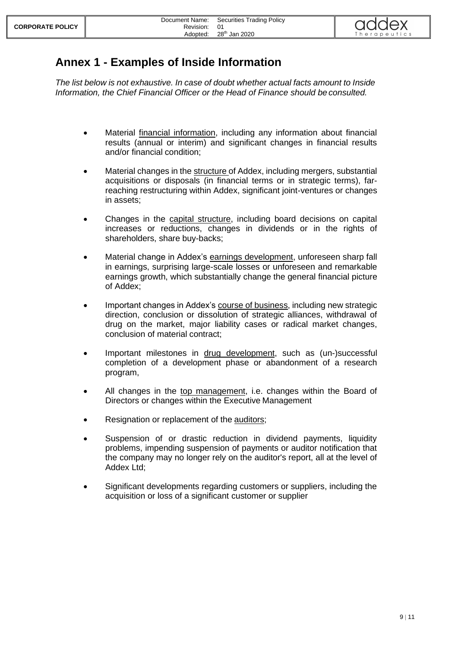## <span id="page-8-0"></span>**Annex 1 - Examples of Inside Information**

*The list below is not exhaustive. In case of doubt whether actual facts amount to Inside Information, the Chief Financial Officer or the Head of Finance should be consulted.*

- Material financial information, including any information about financial results (annual or interim) and significant changes in financial results and/or financial condition;
- Material changes in the structure of Addex, including mergers, substantial acquisitions or disposals (in financial terms or in strategic terms), farreaching restructuring within Addex, significant joint-ventures or changes in assets;
- Changes in the capital structure, including board decisions on capital increases or reductions, changes in dividends or in the rights of shareholders, share buy-backs;
- Material change in Addex's earnings development, unforeseen sharp fall in earnings, surprising large-scale losses or unforeseen and remarkable earnings growth, which substantially change the general financial picture of Addex;
- Important changes in Addex's course of business, including new strategic direction, conclusion or dissolution of strategic alliances, withdrawal of drug on the market, major liability cases or radical market changes, conclusion of material contract;
- Important milestones in drug development, such as (un-)successful completion of a development phase or abandonment of a research program,
- All changes in the top management, i.e. changes within the Board of Directors or changes within the Executive Management
- Resignation or replacement of the auditors;
- Suspension of or drastic reduction in dividend payments, liquidity problems, impending suspension of payments or auditor notification that the company may no longer rely on the auditor's report, all at the level of Addex Ltd;
- Significant developments regarding customers or suppliers, including the acquisition or loss of a significant customer or supplier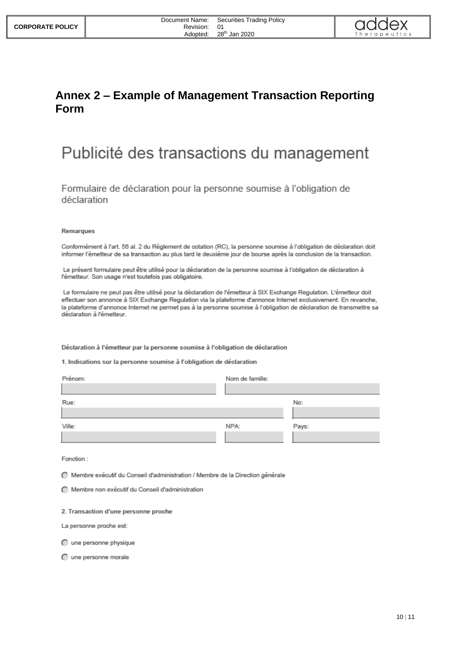

### <span id="page-9-0"></span>**Annex 2 – Example of Management Transaction Reporting Form**

# Publicité des transactions du management

Formulaire de déclaration pour la personne soumise à l'obligation de déclaration

#### Remarques

Conformément à l'art. 56 al. 2 du Règlement de cotation (RC), la personne soumise à l'obligation de déclaration doit informer l'émetteur de sa transaction au plus tard le deuxième jour de bourse après la conclusion de la transaction.

Le présent formulaire peut être utilisé pour la déclaration de la personne soumise à l'obligation de déclaration à l'émetteur. Son usage n'est toutefois pas obligatoire.

Le formulaire ne peut pas être utilisé pour la déclaration de l'émetteur à SIX Exchange Regulation. L'émetteur doit effectuer son annonce à SIX Exchange Regulation via la plateforme d'annonce Internet exclusivement. En revanche, la plateforme d'annonce Internet ne permet pas à la personne soumise à l'obligation de déclaration de transmettre sa déclaration à l'émetteur.

#### Déclaration à l'émetteur par la personne soumise à l'obligation de déclaration

1. Indications sur la personne soumise à l'obligation de déclaration

| Prénom: | Nom de famille: |       |
|---------|-----------------|-------|
|         |                 |       |
| Rue:    |                 | No:   |
|         |                 |       |
| Ville:  | NPA:            | Pays: |
|         |                 |       |

Fonction:

○ Membre exécutif du Conseil d'administration / Membre de la Direction générale

Membre non exécutif du Conseil d'administration

2. Transaction d'une personne proche

La personne proche est:

C une personne physique

O une personne morale